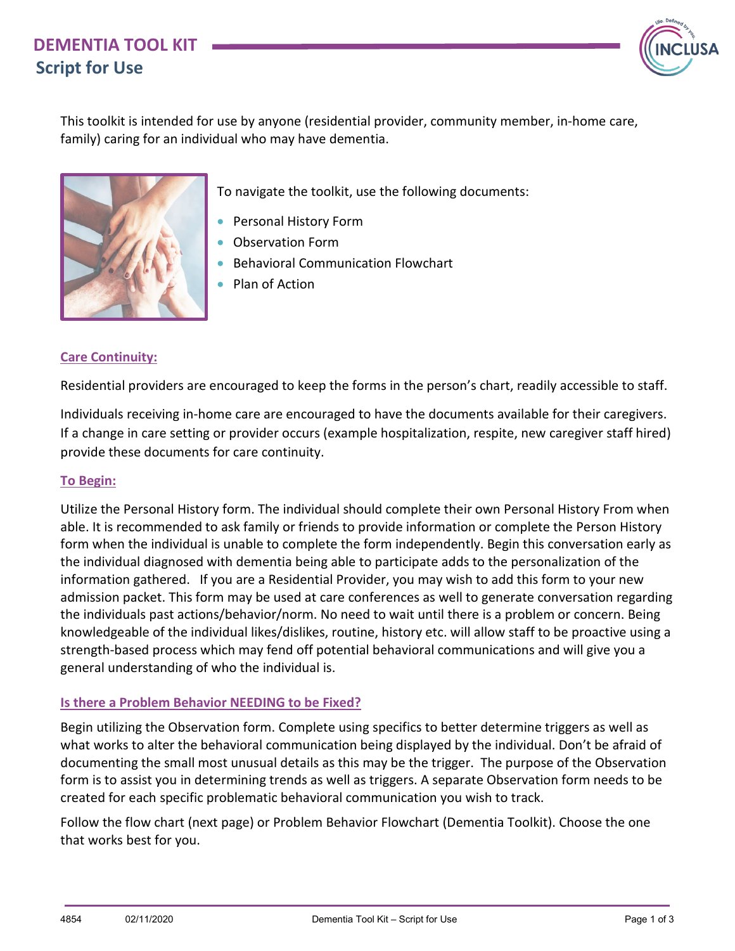## **DEMENTIA TOOL KIT Script for Use**



This toolkit is intended for use by anyone (residential provider, community member, in-home care, family) caring for an individual who may have dementia.



To navigate the toolkit, use the following documents:

- Personal History Form
- Observation Form
- Behavioral Communication Flowchart
- Plan of Action

### **Care Continuity:**

Residential providers are encouraged to keep the forms in the person's chart, readily accessible to staff.

Individuals receiving in-home care are encouraged to have the documents available for their caregivers. If a change in care setting or provider occurs (example hospitalization, respite, new caregiver staff hired) provide these documents for care continuity.

#### **To Begin:**

Utilize the Personal History form. The individual should complete their own Personal History From when able. It is recommended to ask family or friends to provide information or complete the Person History form when the individual is unable to complete the form independently. Begin this conversation early as the individual diagnosed with dementia being able to participate adds to the personalization of the information gathered. If you are a Residential Provider, you may wish to add this form to your new admission packet. This form may be used at care conferences as well to generate conversation regarding the individuals past actions/behavior/norm. No need to wait until there is a problem or concern. Being knowledgeable of the individual likes/dislikes, routine, history etc. will allow staff to be proactive using a strength-based process which may fend off potential behavioral communications and will give you a general understanding of who the individual is.

### **Is there a Problem Behavior NEEDING to be Fixed?**

Begin utilizing the Observation form. Complete using specifics to better determine triggers as well as what works to alter the behavioral communication being displayed by the individual. Don't be afraid of documenting the small most unusual details as this may be the trigger. The purpose of the Observation form is to assist you in determining trends as well as triggers. A separate Observation form needs to be created for each specific problematic behavioral communication you wish to track.

Follow the flow chart (next page) or Problem Behavior Flowchart (Dementia Toolkit). Choose the one that works best for you.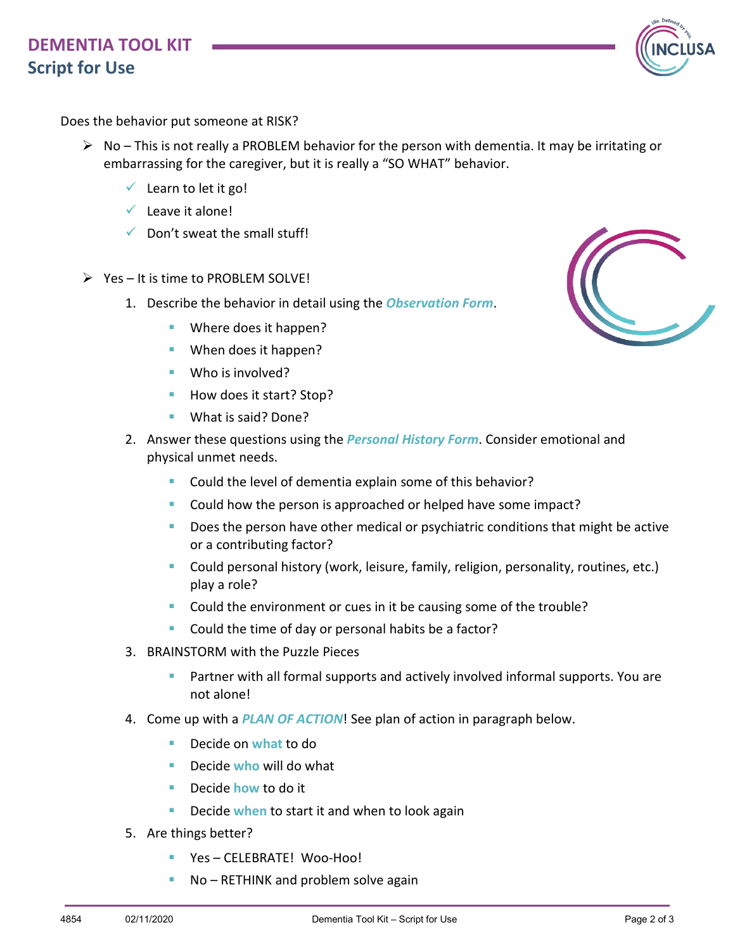# **DEMENTIA TOOL KIT Script for Use**



Does the behavior put someone at RISK?

- $\triangleright$  No This is not really a PROBLEM behavior for the person with dementia. It may be irritating or embarrassing for the caregiver, but it is really a "SO WHAT" behavior.
	- $\checkmark$  Learn to let it go!
	- $\checkmark$  Leave it alone!
	- $\checkmark$  Don't sweat the small stuff!
- $\triangleright$  Yes It is time to PROBLEM SOLVE!
	- 1. Describe the behavior in detail using the *Observation Form*.
		- Where does it happen?
		- When does it happen?
		- Who is involved?
		- How does it start? Stop?
		- **What is said? Done?**
	- 2. Answer these questions using the *Personal History Form*. Consider emotional and physical unmet needs.
		- **Could the level of dementia explain some of this behavior?**
		- Could how the person is approached or helped have some impact?
		- Does the person have other medical or psychiatric conditions that might be active or a contributing factor?
		- **Could personal history (work, leisure, family, religion, personality, routines, etc.)** play a role?
		- Could the environment or cues in it be causing some of the trouble?
		- **Could the time of day or personal habits be a factor?**
	- 3. BRAINSTORM with the Puzzle Pieces
		- Partner with all formal supports and actively involved informal supports. You are not alone!
	- 4. Come up with a *PLAN OF ACTION*! See plan of action in paragraph below.
		- Decide on what to do
		- Decide **who** will do what
		- Decide **how** to do it
		- **Decide when to start it and when to look again**
	- 5. Are things better?
		- **P** Yes CELEBRATE! Woo-Hoo!
		- No RETHINK and problem solve again